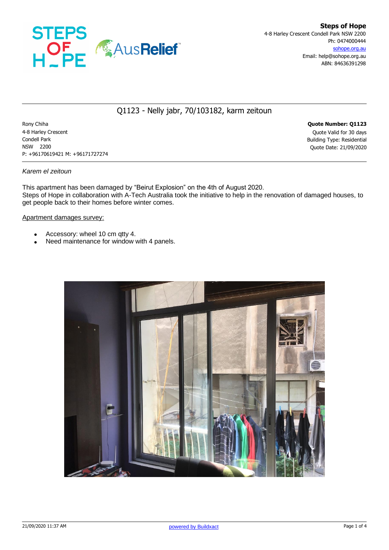

# Q1123 - Nelly jabr, 70/103182, karm zeitoun

Rony Chiha **Quote Number: Q1123** 4-8 Harley Crescent Quote Valid for 30 days Condell Park Building Type: Residential NSW 2200 Quote Date: 21/09/2020 P: +96170619421 M: +96171727274

#### *Karem el zeitoun*

This apartment has been damaged by "Beirut Explosion" on the 4th of August 2020. Steps of Hope in collaboration with A-Tech Australia took the initiative to help in the renovation of damaged houses, to get people back to their homes before winter comes.

#### Apartment damages survey:

- Accessory: wheel 10 cm qtty 4.
- Need maintenance for window with 4 panels.

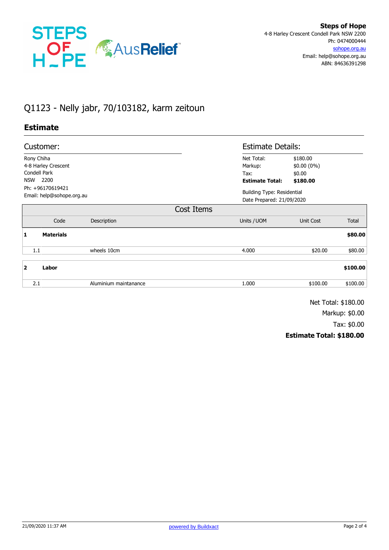

# Q1123 - Nelly jabr, 70/103182, karm zeitoun

## **Estimate**

| Customer:                                     |                  |                       |            | <b>Estimate Details:</b>                                       |              |          |
|-----------------------------------------------|------------------|-----------------------|------------|----------------------------------------------------------------|--------------|----------|
| Rony Chiha                                    |                  |                       |            | Net Total:                                                     | \$180.00     |          |
| 4-8 Harley Crescent                           |                  |                       |            | Markup:                                                        | $$0.00(0\%)$ |          |
| Condell Park                                  |                  |                       |            | Tax:                                                           | \$0.00       |          |
| 2200<br><b>NSW</b>                            |                  |                       |            | <b>Estimate Total:</b>                                         | \$180.00     |          |
| Ph: +96170619421<br>Email: help@sohope.org.au |                  |                       |            | <b>Building Type: Residential</b><br>Date Prepared: 21/09/2020 |              |          |
|                                               |                  |                       | Cost Items |                                                                |              |          |
|                                               | Code             | Description           |            | Units / UOM                                                    | Unit Cost    | Total    |
| 1                                             | <b>Materials</b> |                       |            |                                                                |              | \$80.00  |
|                                               | 1.1              | wheels 10cm           |            | 4.000                                                          | \$20.00      | \$80.00  |
| $\overline{2}$                                | Labor            |                       |            |                                                                |              | \$100.00 |
|                                               | 2.1              | Aluminium maintanance |            | 1.000                                                          | \$100.00     | \$100.00 |

Net Total: \$180.00

Markup: \$0.00

Tax: \$0.00

### **Estimate Total: \$180.00**